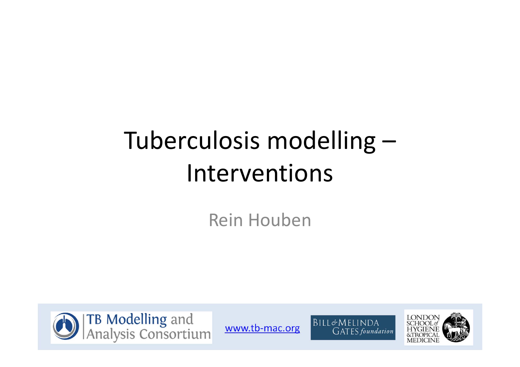#### Tuberculosis modelling –Interventions

Rein Houben





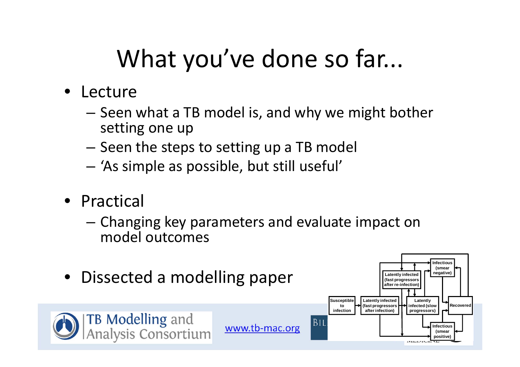## What you've done so far...

- Lecture
	- Seen what a TB model is, and why we might bother setting one up
	- – $-$  Seen the steps to setting up a TB model
	- 'As simple as possible, but still useful'
- Practical
	- Changing key parameters and evaluate impact on model outcomes

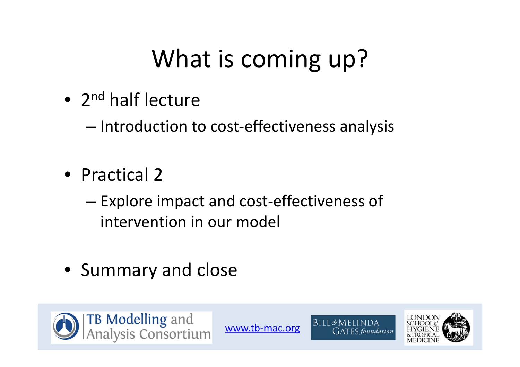## What is coming up?

• 2<sup>nd</sup> half lecture

–— Introduction to cost-effectiveness analysis

- Practical 2
	- – Explore impact and cost‐effectiveness of intervention in our model
- Summary and close





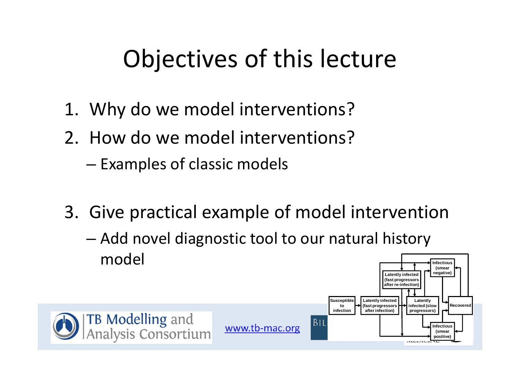### Objectives of this lecture

- 1. Why do we model interventions?
- 2. How do we model interventions?
	- $-$  Examples of classic models
- 3. Give practical example of model intervention
	- – Add novel diagnostic tool to our natural history model

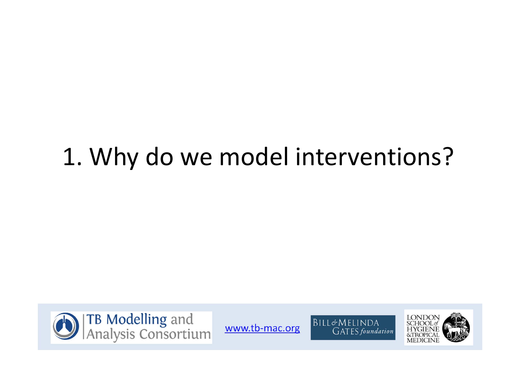### 1. Why do we model interventions?





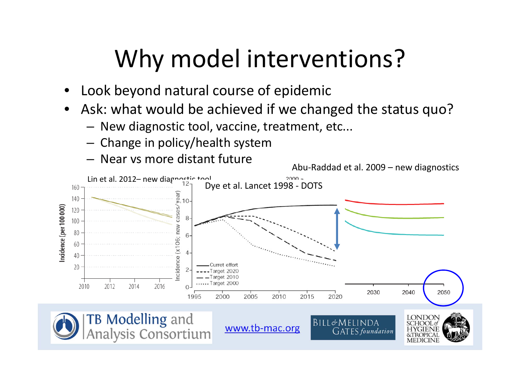## Why model interventions?

- •Look beyond natural course of epidemic
- $\bullet$  Ask: what would be achieved if we changed the status quo?
	- New diagnostic tool, vaccine, treatment, etc...
	- Change in policy/health system
	- Near vs more distant future

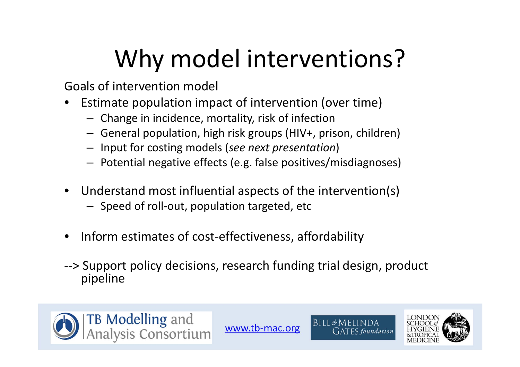# Why model interventions?

Goals of intervention model

- $\bullet$ **•** Estimate population impact of intervention (over time)
	- Change in incidence, mortality, risk of infection
	- General population, high risk groups (HIV+, prison, children)
	- Input for costing models (*see next presentation*)
	- – $-$  Potential negative effects (e.g. false positives/misdiagnoses)
- $\bullet$  Understand most influential aspects of the intervention(s)
	- Speed of roll‐out, population targeted, etc
- $\bullet$ ● Inform estimates of cost-effectiveness, affordability
- ‐‐> Support policy decisions, research funding trial design, product pipeline





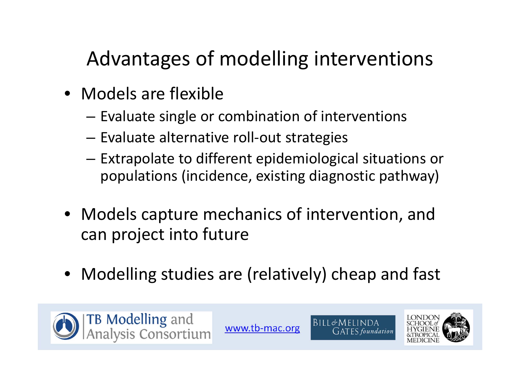#### Advantages of modelling interventions

- Models are flexible
	- $-$  Evaluate single or combination of interventions
	- –Evaluate alternative roll‐out strategies
	- $-$  Extrapolate to different epidemiological situations or populations (incidence, existing diagnostic pathway)
- Models capture mechanics of intervention, and can project into future
- •Modelling studies are (relatively) cheap and fast





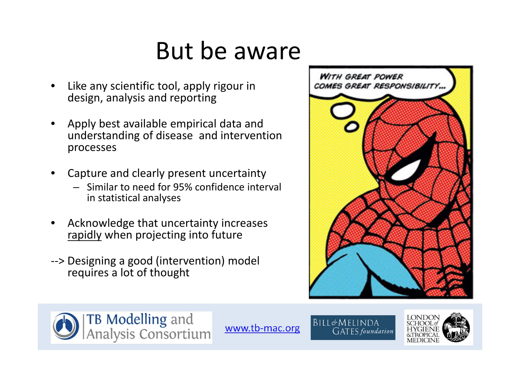### But be aware

- • Like any scientific tool, apply rigour in design, analysis and reporting
- $\bullet$  Apply best available empirical data and understanding of disease and intervention processes
- • Capture and clearly present uncertainty
	- $-$  Similar to need for 95% confidence interval in statistical analyses
- • Acknowledge that uncertainty increases rapidly when projecting into future
- ‐‐> Designing <sup>a</sup> good (intervention) model requires <sup>a</sup> lot of thought







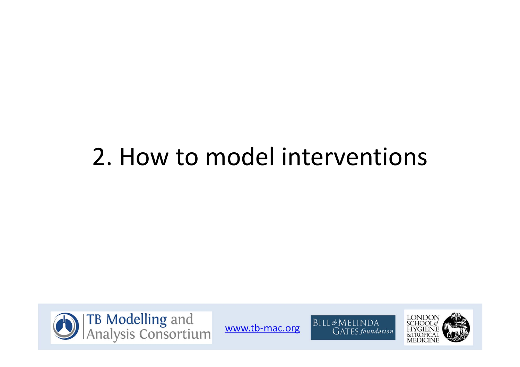### 2. How to model interventions





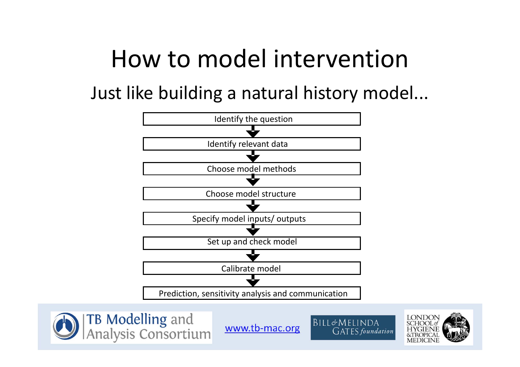### How to model intervention

Just like building <sup>a</sup> natural history model...







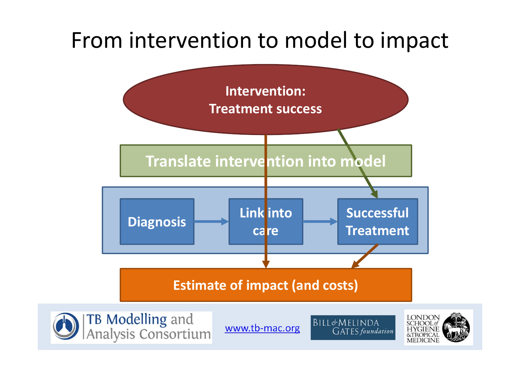#### From intervention to model to impact







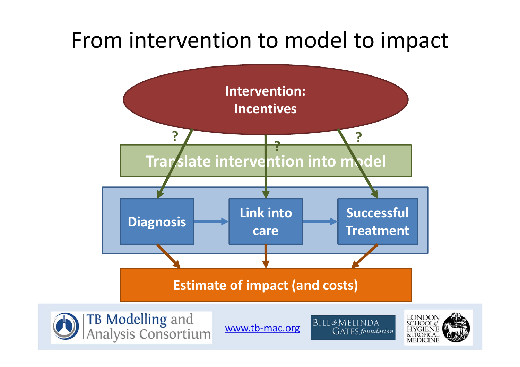#### From intervention to model to impact





www.tb-mac.org

BILL&MELINDA **GATES** foundation

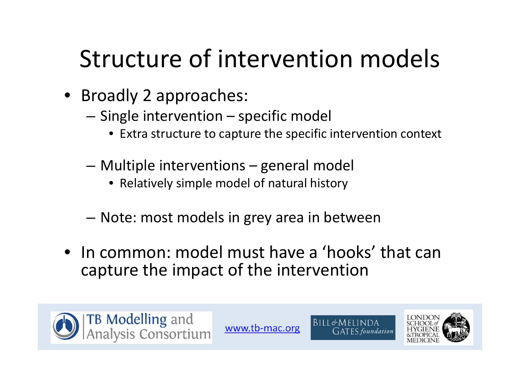## Structure of intervention models

- Broadly 2 approaches:
	- $-$  Single intervention specific model
		- Extra structure to capture the specific intervention context
	- Multiple interventions general model
		- Relatively simple model of natural history
	- Note: most models in grey area in between
- In common: model must have <sup>a</sup> 'hooks' that can capture the impact of the intervention





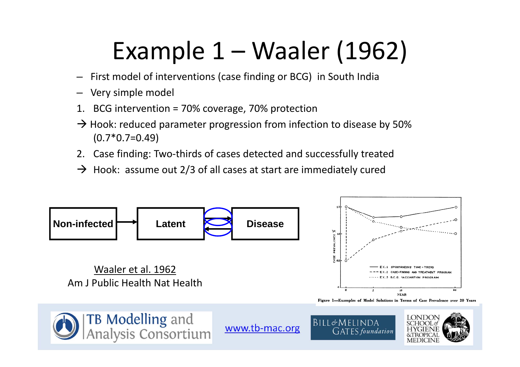## Example 1 – Waaler (1962)

- –First model of interventions (case finding or BCG) in South India
- Very simple model
- 1. BCG intervention <sup>=</sup> 70% coverage, 70% protection
- $\rightarrow$  Hook: reduced parameter progression from infection to disease by 50%  $(0.7*0.7=0.49)$
- 2. Case finding: Two‐thirds of cases detected and successfully treated
- $\rightarrow$  Hook: assume out 2/3 of all cases at start are immediately cured

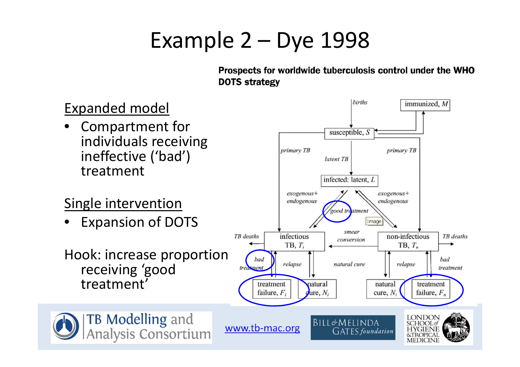### Example 2 – Dye 1998

Prospects for worldwide tuberculosis control under the WHO **DOTS strategy** 

births immunized, M Expanded model Compartment for •susceptible, S individuals receiving primary TB primary TB ineffective ('bad') latent TB treatmentinfected: latent, L  $exogenous+$  $exogenous+$ Single intervention endogenous endogenous good treatment Expansion of DOTS Image •smear TB deaths infectious non-infectious TB deaths conversion TB,  $T_n$  $TB, T_i$ Hook: increase proportion bad bad relapse natural cure relapse receiving 'good treatment treatment treatment'treatment natural natural treatment failure,  $F_i$  $\mathbf{Q}$ ure,  $N_i$ cure,  $N_i$ failure,  $F_n$ **TB Modelling and<br>Analysis Consortium** LONDON<br>SCHOOLof BILL&MELINDA www.tb-mac.org **HYGIENE**<br>&TROPICAL **GATES** foundation **MEDICINE**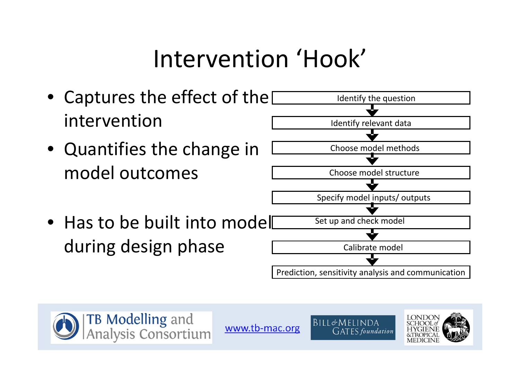## Intervention 'Hook'







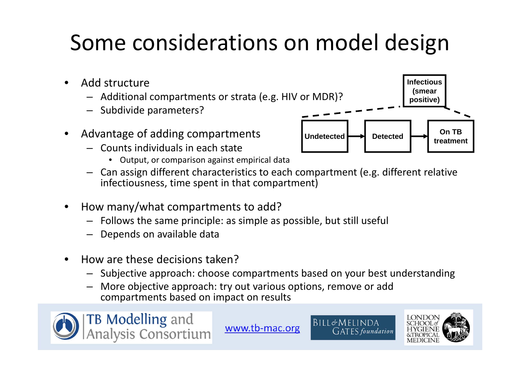### Some considerations on model design

- •• Add structure
	- Additional compartments or strata (e.g. HIV or MDR)?
	- Subdivide parameters?
- • Advantage of adding compartments
	- Counts individuals in each state
		- Output, or comparison against empirical data
	- Can assign different characteristics to each compartment (e.g. different relative infectiousness, time spent in that compartment)
- •• How many/what compartments to add?
	- Follows the same principle: as simple as possible, but still useful
	- Depends on available data
- $\bullet$ **•** How are these decisions taken?
	- Subjective approach: choose compartments based on your best understanding
	- More objective approach: try out various options, remove or add compartments based on impact on results







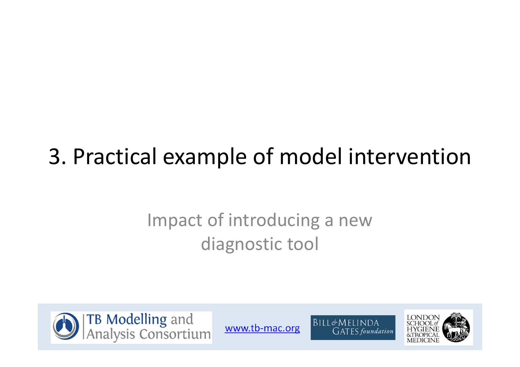### 3. Practical example of model intervention

#### Impact of introducing <sup>a</sup> new diagnostic tool





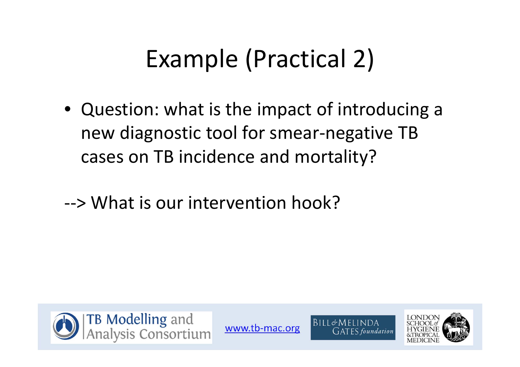## Example (Practical 2)

- Question: what is the impact of introducing <sup>a</sup> new diagnostic tool for smear‐negative TB cases on TB incidence and mortality?
- ‐‐> What is our intervention hook?





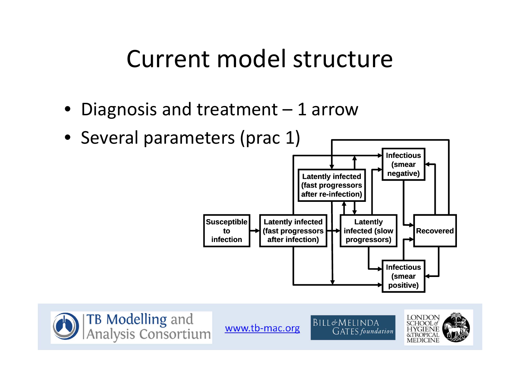#### Current model structure

- Diagnosis and treatment 1 arrow
- Several parameters (prac 1)







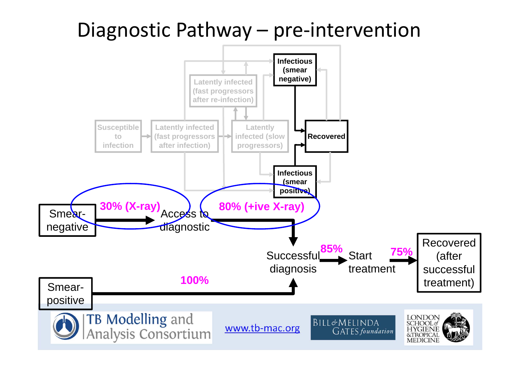#### Diagnostic Pathway – pre-intervention

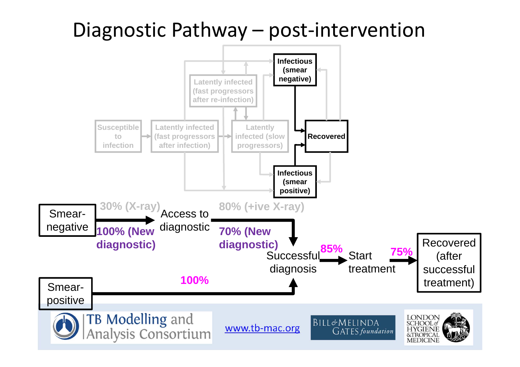#### Diagnostic Pathway – post-intervention

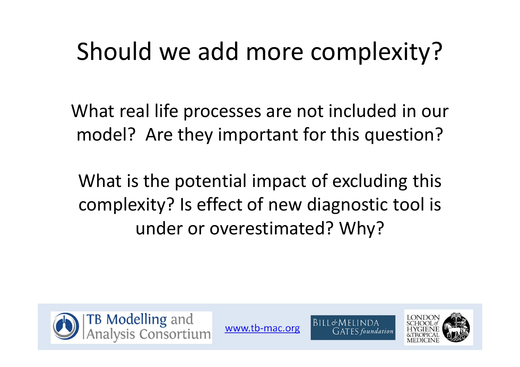## Should we add more complexity?

What real life processes are not included in our model? Are they important for this question?

What is the potential impact of excluding this complexity? Is effect of new diagnostic tool is under or overestimated? Why?





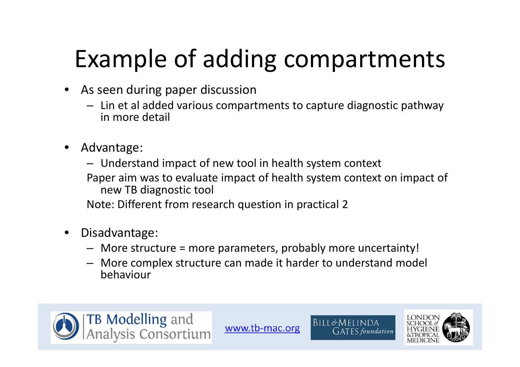# Example of adding compartments

- $\bullet$  As seen during paper discussion
	- Lin et al added various compartments to capture diagnostic pathway in more detail
- • Advantage:
	- Understand impact of new tool in health system context
	- Paper aim was to evaluate impact of health system context on impact of new TB diagnostic tool

Note: Different from research question in practical 2

- $\bullet$  Disadvantage:
	- More structure <sup>=</sup> more parameters, probably more uncertainty!
	- More complex structure can made it harder to understand model behaviour





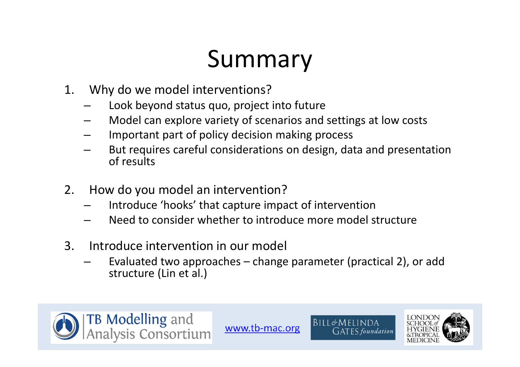### Summary

- 1. Why do we model interventions?
	- Look beyond status quo, project into future
	- –Model can explore variety of scenarios and settings at low costs
	- –Important part of policy decision making process
	- – But requires careful considerations on design, data and presentation of results
- 2. How do you model an intervention?
	- Introduce 'hooks' that capture impact of intervention
	- –Need to consider whether to introduce more model structure
- 3. Introduce intervention in our model
	- Evaluated two approaches change parameter (practical 2), or add structure (Lin et al.)